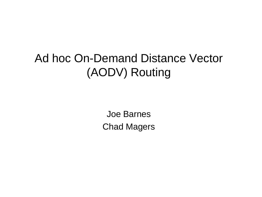Joe Barnes Chad Magers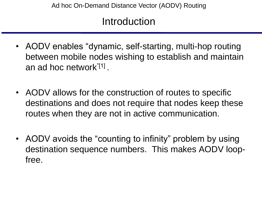#### Introduction

- AODV enables "dynamic, self-starting, multi-hop routing between mobile nodes wishing to establish and maintain an ad hoc network<sup>"[1]</sup>.
- AODV allows for the construction of routes to specific destinations and does not require that nodes keep these routes when they are not in active communication.
- AODV avoids the "counting to infinity" problem by using destination sequence numbers. This makes AODV loopfree.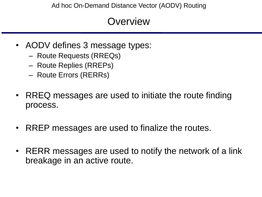- AODV defines 3 message types:
	- Route Requests (RREQs)
	- Route Replies (RREPs)
	- Route Errors (RERRs)
- RREQ messages are used to initiate the route finding process.
- RREP messages are used to finalize the routes.
- RERR messages are used to notify the network of a link breakage in an active route.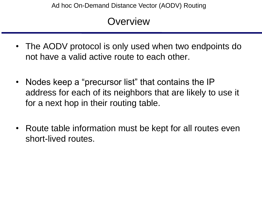- The AODV protocol is only used when two endpoints do not have a valid active route to each other.
- Nodes keep a "precursor list" that contains the IP address for each of its neighbors that are likely to use it for a next hop in their routing table.
- Route table information must be kept for all routes even short-lived routes.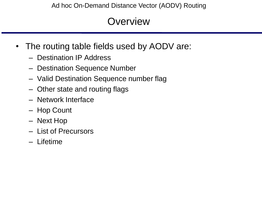- The routing table fields used by AODV are:
	- Destination IP Address
	- Destination Sequence Number
	- Valid Destination Sequence number flag
	- Other state and routing flags
	- Network Interface
	- Hop Count
	- Next Hop
	- List of Precursors
	- Lifetime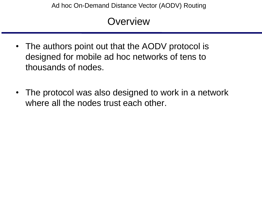- The authors point out that the AODV protocol is designed for mobile ad hoc networks of tens to thousands of nodes.
- The protocol was also designed to work in a network where all the nodes trust each other.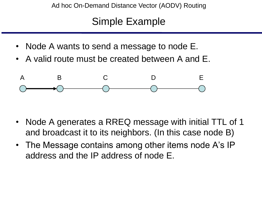# Simple Example

- Node A wants to send a message to node E.
- A valid route must be created between A and E.



- Node A generates a RREQ message with initial TTL of 1 and broadcast it to its neighbors. (In this case node B)
- The Message contains among other items node A's IP address and the IP address of node E.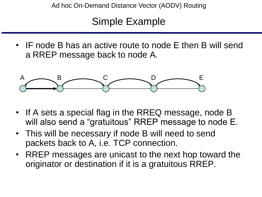# Simple Example

• IF node B has an active route to node E then B will send a RREP message back to node A.



- If A sets a special flag in the RREQ message, node B will also send a "gratuitous" RREP message to node E.
- This will be necessary if node B will need to send packets back to A, i.e. TCP connection.
- RREP messages are unicast to the next hop toward the originator or destination if it is a gratuitous RREP.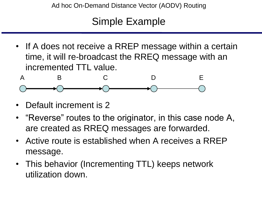## Simple Example

• If A does not receive a RREP message within a certain time, it will re-broadcast the RREQ message with an incremented TTL value.



- Default increment is 2
- "Reverse" routes to the originator, in this case node A, are created as RREQ messages are forwarded.
- Active route is established when A receives a RREP message.
- This behavior (Incrementing TTL) keeps network utilization down.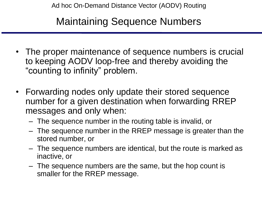# Maintaining Sequence Numbers

- The proper maintenance of sequence numbers is crucial to keeping AODV loop-free and thereby avoiding the "counting to infinity" problem.
- Forwarding nodes only update their stored sequence number for a given destination when forwarding RREP messages and only when:
	- The sequence number in the routing table is invalid, or
	- The sequence number in the RREP message is greater than the stored number, or
	- The sequence numbers are identical, but the route is marked as inactive, or
	- The sequence numbers are the same, but the hop count is smaller for the RREP message.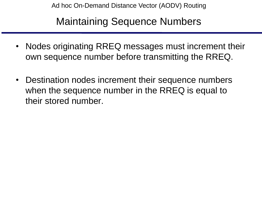Maintaining Sequence Numbers

- Nodes originating RREQ messages must increment their own sequence number before transmitting the RREQ.
- Destination nodes increment their sequence numbers when the sequence number in the RREQ is equal to their stored number.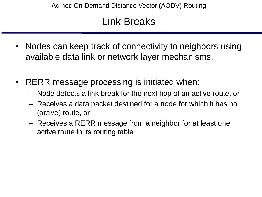# Link Breaks

- Nodes can keep track of connectivity to neighbors using available data link or network layer mechanisms.
- RERR message processing is initiated when:
	- Node detects a link break for the next hop of an active route, or
	- Receives a data packet destined for a node for which it has no (active) route, or
	- Receives a RERR message from a neighbor for at least one active route in its routing table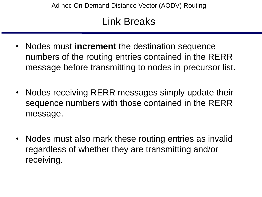# Link Breaks

- Nodes must **increment** the destination sequence numbers of the routing entries contained in the RERR message before transmitting to nodes in precursor list.
- Nodes receiving RERR messages simply update their sequence numbers with those contained in the RERR message.
- Nodes must also mark these routing entries as invalid regardless of whether they are transmitting and/or receiving.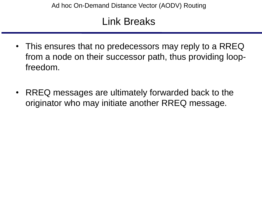# Link Breaks

- This ensures that no predecessors may reply to a RREQ from a node on their successor path, thus providing loopfreedom.
- RREQ messages are ultimately forwarded back to the originator who may initiate another RREQ message.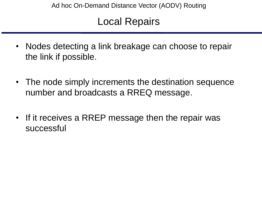# Local Repairs

- Nodes detecting a link breakage can choose to repair the link if possible.
- The node simply increments the destination sequence number and broadcasts a RREQ message.
- If it receives a RREP message then the repair was successful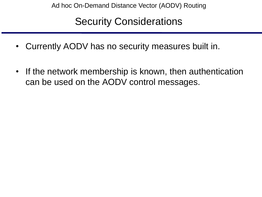# Security Considerations

- Currently AODV has no security measures built in.
- If the network membership is known, then authentication can be used on the AODV control messages.